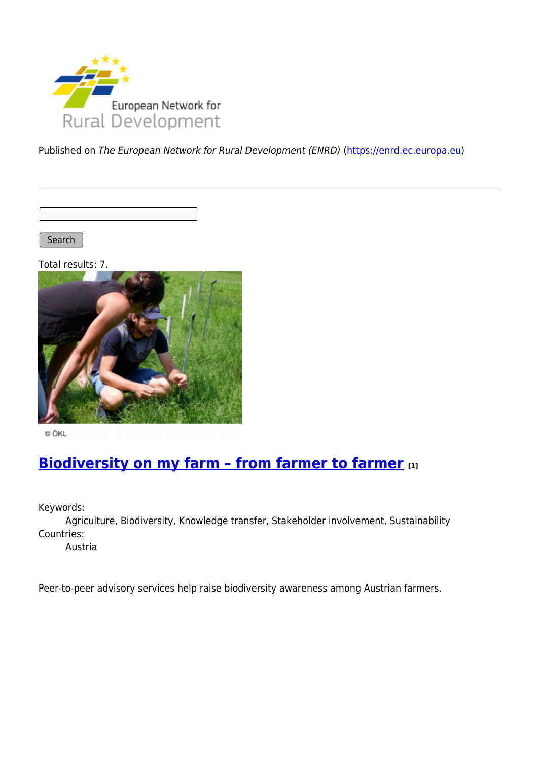

Published on The European Network for Rural Development (ENRD) [\(https://enrd.ec.europa.eu](https://enrd.ec.europa.eu))

Search

Total results: 7.



© ÖKL

## **Biodiversity on my farm - from farmer to farmer** [1]

Keywords:

Agriculture, Biodiversity, Knowledge transfer, Stakeholder involvement, Sustainability Countries:

Austria

Peer-to-peer advisory services help raise biodiversity awareness among Austrian farmers.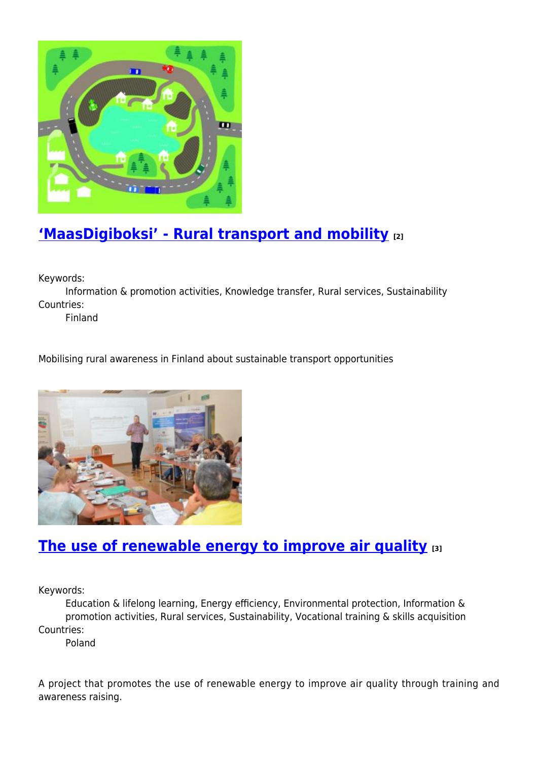

# **['MaasDigiboksi' - Rural transport and mobility](https://enrd.ec.europa.eu/projects-practice/maasdigiboksi-rural-transport-and-mobility_en) [2]**

Keywords:

Information & promotion activities, Knowledge transfer, Rural services, Sustainability Countries:

Finland

Mobilising rural awareness in Finland about sustainable transport opportunities



#### **[The use of renewable energy to improve air quality](https://enrd.ec.europa.eu/projects-practice/use-renewable-energy-improve-air-quality_en) [3]**

Keywords:

Education & lifelong learning, Energy efficiency, Environmental protection, Information & promotion activities, Rural services, Sustainability, Vocational training & skills acquisition Countries:

Poland

A project that promotes the use of renewable energy to improve air quality through training and awareness raising.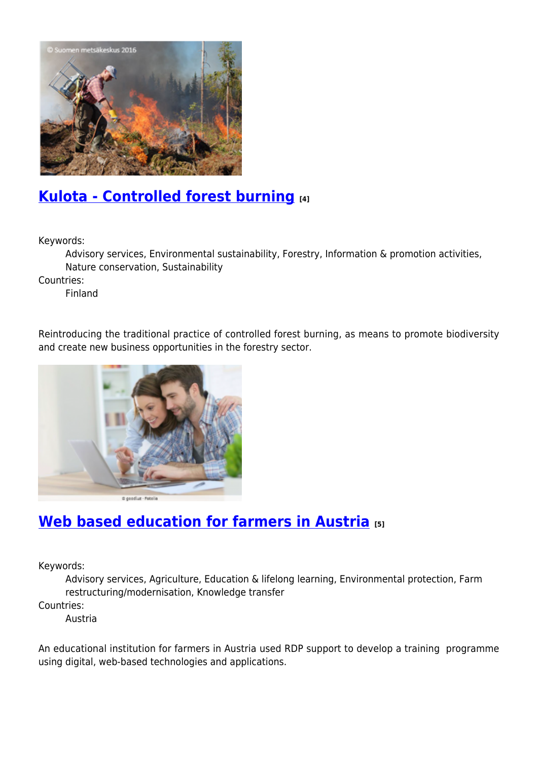

### **[Kulota - Controlled forest burning](https://enrd.ec.europa.eu/projects-practice/kulota-controlled-forest-burning_en) [4]**

Keywords:

Advisory services, Environmental sustainability, Forestry, Information & promotion activities, Nature conservation, Sustainability

Countries:

Finland

Reintroducing the traditional practice of controlled forest burning, as means to promote biodiversity and create new business opportunities in the forestry sector.



## **[Web based education for farmers in Austria](https://enrd.ec.europa.eu/projects-practice/web-based-education-farmers-austria_en) [5]**

Keywords:

Advisory services, Agriculture, Education & lifelong learning, Environmental protection, Farm restructuring/modernisation, Knowledge transfer Countries:

Austria

An educational institution for farmers in Austria used RDP support to develop a training programme using digital, web-based technologies and applications.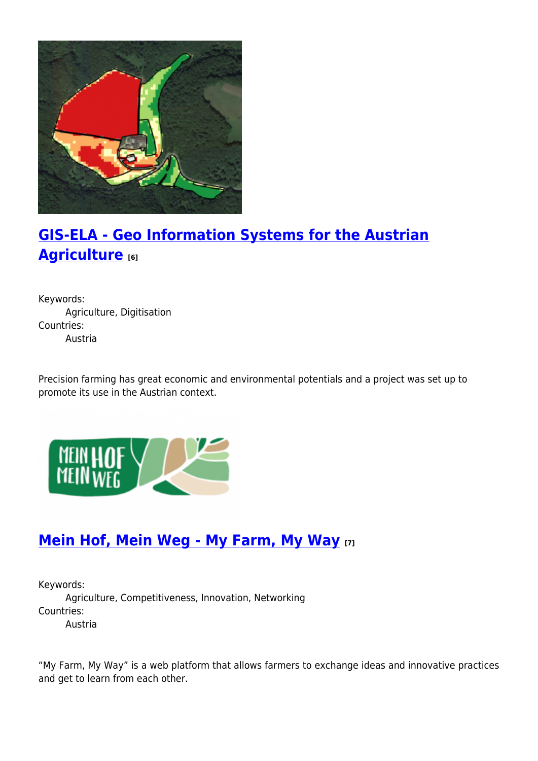

# **[GIS-ELA - Geo Information Systems for the Austrian](https://enrd.ec.europa.eu/projects-practice/gis-ela-geo-information-systems-austrian-agriculture_en) [Agriculture](https://enrd.ec.europa.eu/projects-practice/gis-ela-geo-information-systems-austrian-agriculture_en) [6]**

Keywords: Agriculture, Digitisation Countries: Austria

Precision farming has great economic and environmental potentials and a project was set up to promote its use in the Austrian context.



#### **[Mein Hof, Mein Weg - My Farm, My Way](https://enrd.ec.europa.eu/projects-practice/mein-hof-mein-weg-my-farm-my-way_en) [7]**

Keywords: Agriculture, Competitiveness, Innovation, Networking Countries: Austria

"My Farm, My Way" is a web platform that allows farmers to exchange ideas and innovative practices and get to learn from each other.